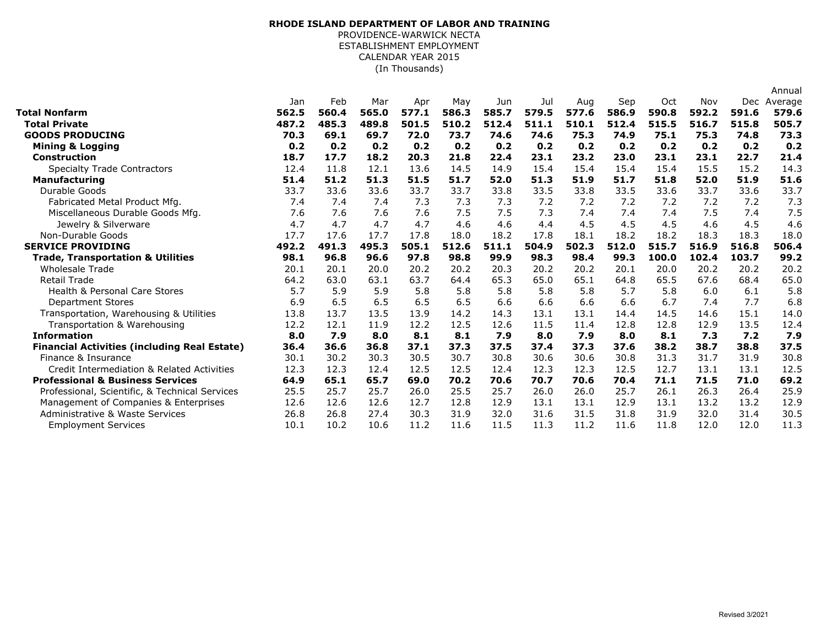## (In Thousands) **RHODE ISLAND DEPARTMENT OF LABOR AND TRAINING** PROVIDENCE-WARWICK NECTA ESTABLISHMENT EMPLOYMENT CALENDAR YEAR 2015

|                                                     |       |       |       |       |       |       |       |       |       |       |       |       | Annual  |
|-----------------------------------------------------|-------|-------|-------|-------|-------|-------|-------|-------|-------|-------|-------|-------|---------|
|                                                     | Jan   | Feb   | Mar   | Apr   | May   | Jun   | Jul   | Aug   | Sep   | Oct   | Nov   | Dec   | Average |
| Total Nonfarm                                       | 562.5 | 560.4 | 565.0 | 577.1 | 586.3 | 585.7 | 579.5 | 577.6 | 586.9 | 590.8 | 592.2 | 591.6 | 579.6   |
| <b>Total Private</b>                                | 487.2 | 485.3 | 489.8 | 501.5 | 510.2 | 512.4 | 511.1 | 510.1 | 512.4 | 515.5 | 516.7 | 515.8 | 505.7   |
| <b>GOODS PRODUCING</b>                              | 70.3  | 69.1  | 69.7  | 72.0  | 73.7  | 74.6  | 74.6  | 75.3  | 74.9  | 75.1  | 75.3  | 74.8  | 73.3    |
| <b>Mining &amp; Logging</b>                         | 0.2   | 0.2   | 0.2   | 0.2   | 0.2   | 0.2   | 0.2   | 0.2   | 0.2   | 0.2   | 0.2   | 0.2   | 0.2     |
| <b>Construction</b>                                 | 18.7  | 17.7  | 18.2  | 20.3  | 21.8  | 22.4  | 23.1  | 23.2  | 23.0  | 23.1  | 23.1  | 22.7  | 21.4    |
| <b>Specialty Trade Contractors</b>                  | 12.4  | 11.8  | 12.1  | 13.6  | 14.5  | 14.9  | 15.4  | 15.4  | 15.4  | 15.4  | 15.5  | 15.2  | 14.3    |
| <b>Manufacturing</b>                                | 51.4  | 51.2  | 51.3  | 51.5  | 51.7  | 52.0  | 51.3  | 51.9  | 51.7  | 51.8  | 52.0  | 51.9  | 51.6    |
| Durable Goods                                       | 33.7  | 33.6  | 33.6  | 33.7  | 33.7  | 33.8  | 33.5  | 33.8  | 33.5  | 33.6  | 33.7  | 33.6  | 33.7    |
| Fabricated Metal Product Mfg.                       | 7.4   | 7.4   | 7.4   | 7.3   | 7.3   | 7.3   | 7.2   | 7.2   | 7.2   | 7.2   | 7.2   | 7.2   | 7.3     |
| Miscellaneous Durable Goods Mfg.                    | 7.6   | 7.6   | 7.6   | 7.6   | 7.5   | 7.5   | 7.3   | 7.4   | 7.4   | 7.4   | 7.5   | 7.4   | 7.5     |
| Jewelry & Silverware                                | 4.7   | 4.7   | 4.7   | 4.7   | 4.6   | 4.6   | 4.4   | 4.5   | 4.5   | 4.5   | 4.6   | 4.5   | 4.6     |
| Non-Durable Goods                                   | 17.7  | 17.6  | 17.7  | 17.8  | 18.0  | 18.2  | 17.8  | 18.1  | 18.2  | 18.2  | 18.3  | 18.3  | 18.0    |
| <b>SERVICE PROVIDING</b>                            | 492.2 | 491.3 | 495.3 | 505.1 | 512.6 | 511.1 | 504.9 | 502.3 | 512.0 | 515.7 | 516.9 | 516.8 | 506.4   |
| <b>Trade, Transportation &amp; Utilities</b>        | 98.1  | 96.8  | 96.6  | 97.8  | 98.8  | 99.9  | 98.3  | 98.4  | 99.3  | 100.0 | 102.4 | 103.7 | 99.2    |
| <b>Wholesale Trade</b>                              | 20.1  | 20.1  | 20.0  | 20.2  | 20.2  | 20.3  | 20.2  | 20.2  | 20.1  | 20.0  | 20.2  | 20.2  | 20.2    |
| <b>Retail Trade</b>                                 | 64.2  | 63.0  | 63.1  | 63.7  | 64.4  | 65.3  | 65.0  | 65.1  | 64.8  | 65.5  | 67.6  | 68.4  | 65.0    |
| <b>Health &amp; Personal Care Stores</b>            | 5.7   | 5.9   | 5.9   | 5.8   | 5.8   | 5.8   | 5.8   | 5.8   | 5.7   | 5.8   | 6.0   | 6.1   | 5.8     |
| <b>Department Stores</b>                            | 6.9   | 6.5   | 6.5   | 6.5   | 6.5   | 6.6   | 6.6   | 6.6   | 6.6   | 6.7   | 7.4   | 7.7   | 6.8     |
| Transportation, Warehousing & Utilities             | 13.8  | 13.7  | 13.5  | 13.9  | 14.2  | 14.3  | 13.1  | 13.1  | 14.4  | 14.5  | 14.6  | 15.1  | 14.0    |
| Transportation & Warehousing                        | 12.2  | 12.1  | 11.9  | 12.2  | 12.5  | 12.6  | 11.5  | 11.4  | 12.8  | 12.8  | 12.9  | 13.5  | 12.4    |
| <b>Information</b>                                  | 8.0   | 7.9   | 8.0   | 8.1   | 8.1   | 7.9   | 8.0   | 7.9   | 8.0   | 8.1   | 7.3   | 7.2   | 7.9     |
| <b>Financial Activities (including Real Estate)</b> | 36.4  | 36.6  | 36.8  | 37.1  | 37.3  | 37.5  | 37.4  | 37.3  | 37.6  | 38.2  | 38.7  | 38.8  | 37.5    |
| Finance & Insurance                                 | 30.1  | 30.2  | 30.3  | 30.5  | 30.7  | 30.8  | 30.6  | 30.6  | 30.8  | 31.3  | 31.7  | 31.9  | 30.8    |
| Credit Intermediation & Related Activities          | 12.3  | 12.3  | 12.4  | 12.5  | 12.5  | 12.4  | 12.3  | 12.3  | 12.5  | 12.7  | 13.1  | 13.1  | 12.5    |
| <b>Professional &amp; Business Services</b>         | 64.9  | 65.1  | 65.7  | 69.0  | 70.2  | 70.6  | 70.7  | 70.6  | 70.4  | 71.1  | 71.5  | 71.0  | 69.2    |
| Professional, Scientific, & Technical Services      | 25.5  | 25.7  | 25.7  | 26.0  | 25.5  | 25.7  | 26.0  | 26.0  | 25.7  | 26.1  | 26.3  | 26.4  | 25.9    |
| Management of Companies & Enterprises               | 12.6  | 12.6  | 12.6  | 12.7  | 12.8  | 12.9  | 13.1  | 13.1  | 12.9  | 13.1  | 13.2  | 13.2  | 12.9    |
| Administrative & Waste Services                     | 26.8  | 26.8  | 27.4  | 30.3  | 31.9  | 32.0  | 31.6  | 31.5  | 31.8  | 31.9  | 32.0  | 31.4  | 30.5    |
| <b>Employment Services</b>                          | 10.1  | 10.2  | 10.6  | 11.2  | 11.6  | 11.5  | 11.3  | 11.2  | 11.6  | 11.8  | 12.0  | 12.0  | 11.3    |